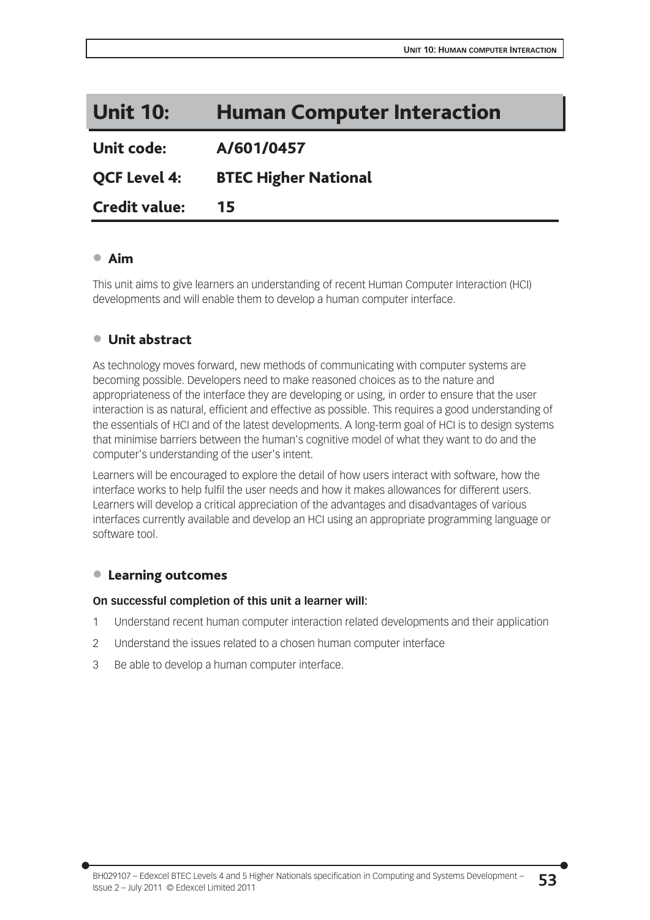# Unit 10: Human Computer Interaction

Unit code: A/601/0457

QCF Level 4: BTEC Higher National

Credit value: 15

### x Aim

This unit aims to give learners an understanding of recent Human Computer Interaction (HCI) developments and will enable them to develop a human computer interface.

### ● Unit abstract

As technology moves forward, new methods of communicating with computer systems are becoming possible. Developers need to make reasoned choices as to the nature and appropriateness of the interface they are developing or using, in order to ensure that the user interaction is as natural, efficient and effective as possible. This requires a good understanding of the essentials of HCI and of the latest developments. A long-term goal of HCI is to design systems that minimise barriers between the human's cognitive model of what they want to do and the computer's understanding of the user's intent.

Learners will be encouraged to explore the detail of how users interact with software, how the interface works to help fulfil the user needs and how it makes allowances for different users. Learners will develop a critical appreciation of the advantages and disadvantages of various interfaces currently available and develop an HCI using an appropriate programming language or software tool.

### ● Learning outcomes

### **On successful completion of this unit a learner will:**

- 1 Understand recent human computer interaction related developments and their application
- 2 Understand the issues related to a chosen human computer interface
- 3 Be able to develop a human computer interface.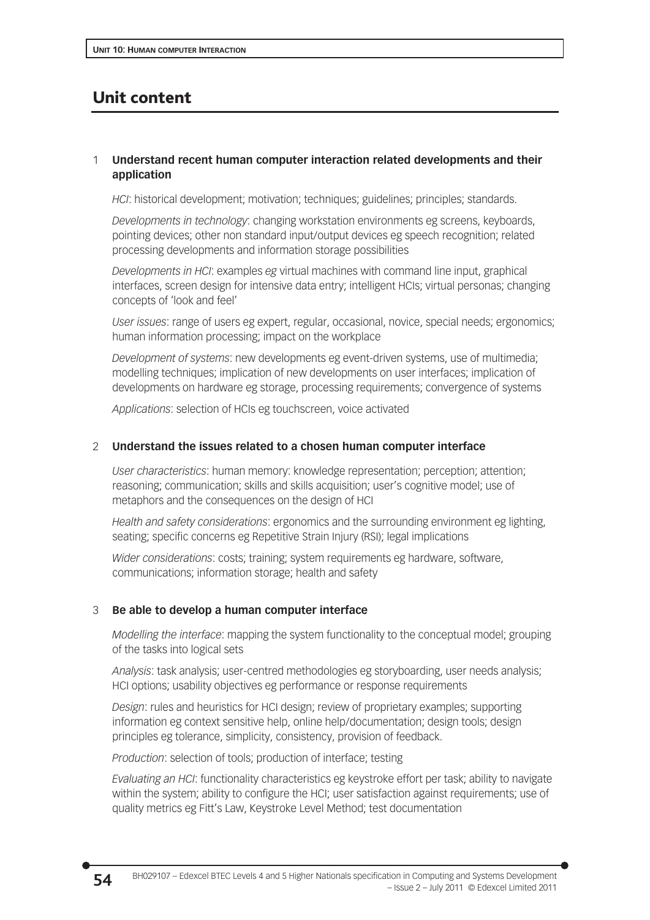## Unit content

### 1 **Understand recent human computer interaction related developments and their application**

*HCI*: historical development; motivation; techniques; guidelines; principles; standards.

*Developments in technology*: changing workstation environments eg screens, keyboards, pointing devices; other non standard input/output devices eg speech recognition; related processing developments and information storage possibilities

*Developments in HCI*: examples *eg* virtual machines with command line input, graphical interfaces, screen design for intensive data entry; intelligent HCIs; virtual personas; changing concepts of 'look and feel'

*User issues*: range of users eg expert, regular, occasional, novice, special needs; ergonomics; human information processing; impact on the workplace

*Development of systems*: new developments eg event-driven systems, use of multimedia; modelling techniques; implication of new developments on user interfaces; implication of developments on hardware eg storage, processing requirements; convergence of systems

*Applications*: selection of HCIs eg touchscreen, voice activated

### 2 **Understand the issues related to a chosen human computer interface**

*User characteristics*: human memory: knowledge representation; perception; attention; reasoning; communication; skills and skills acquisition; user's cognitive model; use of metaphors and the consequences on the design of HCI

*Health and safety considerations*: ergonomics and the surrounding environment eg lighting, seating; specific concerns eg Repetitive Strain Injury (RSI); legal implications

*Wider considerations*: costs; training; system requirements eg hardware, software, communications; information storage; health and safety

### 3 **Be able to develop a human computer interface**

*Modelling the interface*: mapping the system functionality to the conceptual model; grouping of the tasks into logical sets

*Analysis*: task analysis; user-centred methodologies eg storyboarding, user needs analysis; HCI options; usability objectives eg performance or response requirements

*Design*: rules and heuristics for HCI design; review of proprietary examples; supporting information eg context sensitive help, online help/documentation; design tools; design principles eg tolerance, simplicity, consistency, provision of feedback.

*Production*: selection of tools; production of interface; testing

*Evaluating an HCI*: functionality characteristics eg keystroke effort per task; ability to navigate within the system; ability to configure the HCI; user satisfaction against requirements; use of quality metrics eg Fitt's Law, Keystroke Level Method; test documentation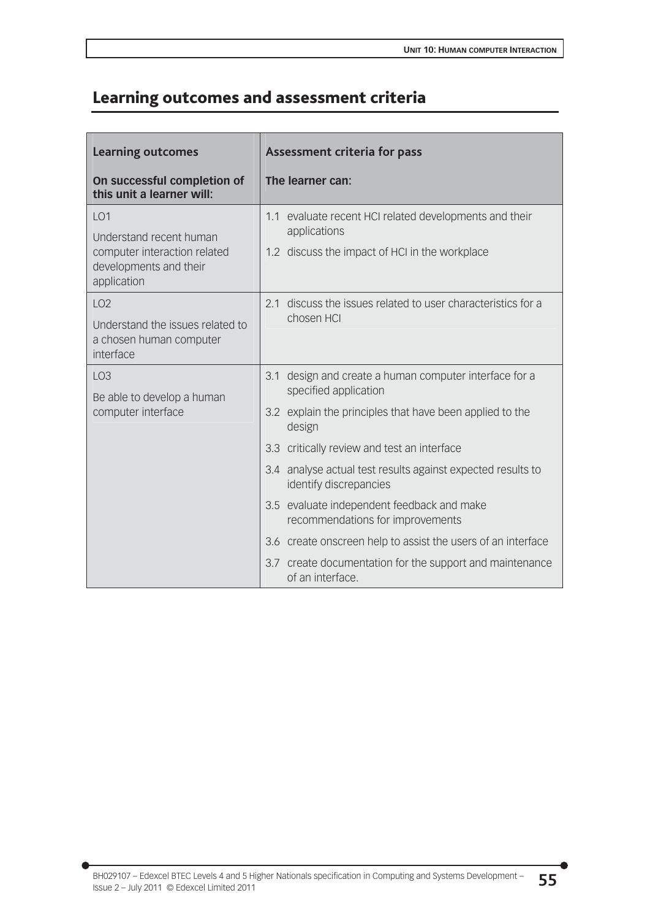## Learning outcomes and assessment criteria

| <b>Learning outcomes</b>                                                                                            |     | <b>Assessment criteria for pass</b>                                               |
|---------------------------------------------------------------------------------------------------------------------|-----|-----------------------------------------------------------------------------------|
| On successful completion of<br>this unit a learner will:                                                            |     | The learner can:                                                                  |
| LO <sub>1</sub><br>Understand recent human<br>computer interaction related<br>developments and their<br>application |     | 1.1 evaluate recent HCI related developments and their<br>applications            |
|                                                                                                                     |     | 1.2 discuss the impact of HCI in the workplace                                    |
| LO <sub>2</sub>                                                                                                     |     | discuss the issues related to user characteristics for a<br>2.1<br>chosen HCI     |
| Understand the issues related to<br>a chosen human computer<br>interface                                            |     |                                                                                   |
| LO <sub>3</sub><br>Be able to develop a human<br>computer interface                                                 |     | 3.1 design and create a human computer interface for a<br>specified application   |
|                                                                                                                     |     | 3.2 explain the principles that have been applied to the<br>design                |
|                                                                                                                     |     | 3.3 critically review and test an interface                                       |
|                                                                                                                     | 3.4 | analyse actual test results against expected results to<br>identify discrepancies |
|                                                                                                                     |     | 3.5 evaluate independent feedback and make<br>recommendations for improvements    |
|                                                                                                                     |     | 3.6 create onscreen help to assist the users of an interface                      |
|                                                                                                                     |     | 3.7 create documentation for the support and maintenance<br>of an interface.      |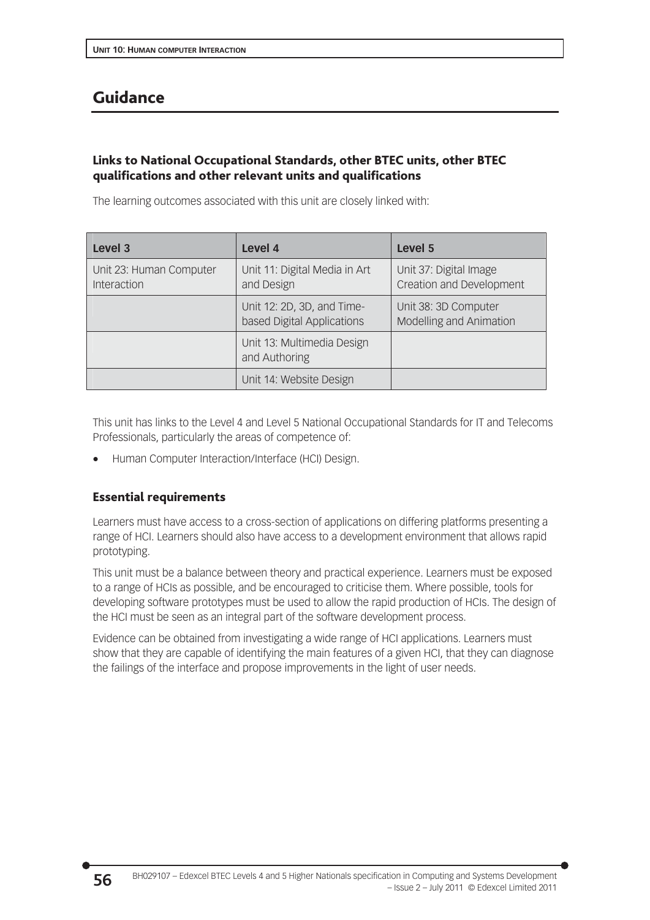## Guidance

### Links to National Occupational Standards, other BTEC units, other BTEC qualifications and other relevant units and qualifications

The learning outcomes associated with this unit are closely linked with:

| Level 3                                | Level 4                                                  | Level 5                                            |
|----------------------------------------|----------------------------------------------------------|----------------------------------------------------|
| Unit 23: Human Computer<br>Interaction | Unit 11: Digital Media in Art<br>and Design              | Unit 37: Digital Image<br>Creation and Development |
|                                        | Unit 12: 2D, 3D, and Time-<br>based Digital Applications | Unit 38: 3D Computer<br>Modelling and Animation    |
|                                        | Unit 13: Multimedia Design<br>and Authoring              |                                                    |
|                                        | Unit 14: Website Design                                  |                                                    |

This unit has links to the Level 4 and Level 5 National Occupational Standards for IT and Telecoms Professionals, particularly the areas of competence of:

Human Computer Interaction/Interface (HCI) Design.

### Essential requirements

Learners must have access to a cross-section of applications on differing platforms presenting a range of HCI. Learners should also have access to a development environment that allows rapid prototyping.

This unit must be a balance between theory and practical experience. Learners must be exposed to a range of HCIs as possible, and be encouraged to criticise them. Where possible, tools for developing software prototypes must be used to allow the rapid production of HCIs. The design of the HCI must be seen as an integral part of the software development process.

Evidence can be obtained from investigating a wide range of HCI applications. Learners must show that they are capable of identifying the main features of a given HCI, that they can diagnose the failings of the interface and propose improvements in the light of user needs.